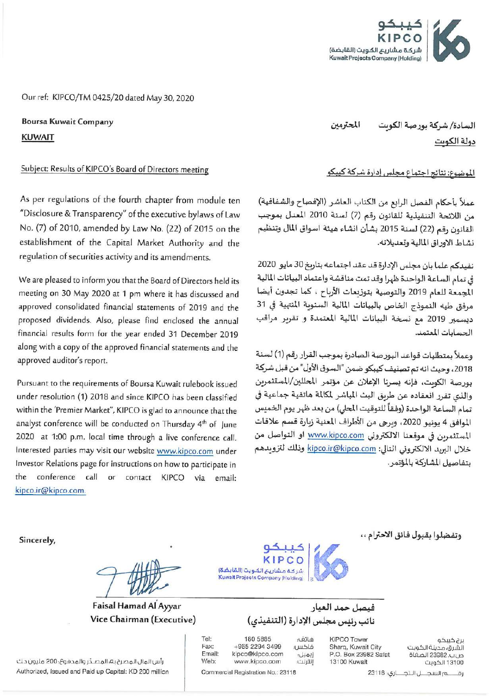

Our ref: KIPCO/TM 0425/20 dated May 30, 2020

**Boursa Kuwait Company KUWAIT** 

### Subject: Results of KIPCO's Board of Directors meeting

As per regulations of the fourth chapter from module ten "Disclosure & Transparency" of the executive bylaws of Law No. (7) of 2010, amended by Law No. (22) of 2015 on the establishment of the Capital Market Authority and the regulation of securities activity and its amendments.

We are pleased to inform you that the Board of Directors held its meeting on 30 May 2020 at 1 pm where it has discussed and approved consolidated financial statements of 2019 and the proposed dividends. Also, please find enclosed the annual financial results form for the year ended 31 December 2019 along with a copy of the approved financial statements and the approved auditor's report.

Pursuant to the requirements of Boursa Kuwait rulebook issued under resolution (1) 2018 and since KIPCO has been classified within the 'Premier Market", KIPCO is glad to announce that the analyst conference will be conducted on Thursday 4<sup>th</sup> of June 2020 at 1:00 p.m. local time through a live conference call. Interested parties may visit our website www.kipco.com under Investor Relations page for instructions on how to participate in the conference call or contact KIPCO via email: kipco.ir@kipco.com.

السادة/ شركة بورصة الكوىت المحترمين دولة الكويت

الموضوع: نتائج اجتماع مجلس إدارة شركة كيبكو

عملاً بأحكام الفصل الرابع من الكتاب العاشر (الإفصاح والشفافية) من اللائحة التنفيذية للقانون رقم (7) لسنة 2010 المعدل بموجب القانون رقم (22) لسنة 2015 بشأن انشاء هيئة اسواق المال وتنظيم نشاط الاوراق المالية وتعديلاته.

نفيدكم علما بان مجلس الإدارة قد عقد اجتماعه بتاريخ 30 مايو 2020 في تمام الساعة الواحدة ظهرا وقد تمت مناقشة واعتماد البيانات المالية المجمعة للعام 2019 والتوصية بتوزيعات الأرباح ، كما تجدون أيضا مرفق طيه النموذج الخاص بالبيانات المالية السنوبة المنهية في 31 ديسمبر 2019 مع نسخة البيانات المالية المعتمدة و تقرير مراقب الحسابات المعتمد.

وعملاً بمتطلبات قواعد البورصة الصادرة بموجب القرار رقم (1) لسنة 2018، وحيث انه تم تصنيف كيبكو ضمن "السوق الأول" من قبل شركة بورصة الكويت، فإنه يسرنا الإعلان عن مؤتمر المحللين/المستثمرين والذي تقرر انعقاده عن طريق البث المباشر لمكالمة هاتفية جماعية في تمام الساعة الواحدة (وفقاً للتوقيت المحلي) من بعد ظهر يوم الخميس الموافق 4 يونيو 2020، وبرجي من الأطراف المعنية زبارة قسم علاقات المستثمرين في موقعنا الالكتروني www.kipco.com او التواصل من خلال البريد الالكتروني التالي: kipco.ir@kipco.com وذلك لتزويدهم يتفاصيل الشاركة بالمؤتمر .

Sincerely,

Faisal Hamad Al Ayyar Vice Chairman (Executive)

فبصل حمد العيار

نائب رئيس مجلس الإدارة (التنفيذي)

**KIPCO Tower** 

13100 Kuwait

Sharq, Kuwait City

P.O. Box 23982 Safat

ماتف فاكس: إيميل: إنترنت؛

180 5885 +965 2294 3499 kipco@kipco.com www.kipco.com

Commercial Registration No.: 23118

شركة مشاريع الكويت (القابضة) **Kuwait Projects Company (Holding)** 

Fax: **Email:** Web:

Tel:

رة \_\_\_ م السجــــل الـتجـــاري؛ 11832

برج کیبکو

الشرق، مدينة الكويت

ص.ب. 23982 الصفاة

13100 الكويت

وتفضلوا بقبول فائق الاحترام ، ،

رأس المال المصرح به، المصدّر والمدفوع؛ 200 مليون د.ك Authorized, Issued and Paid up Capital: KD 200 million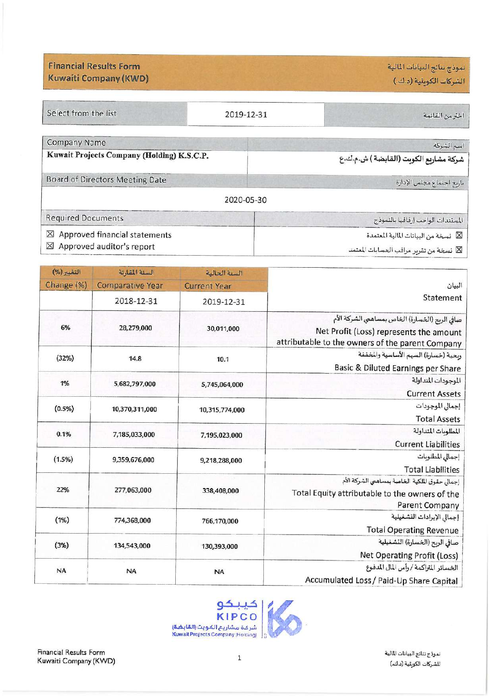نموذج نتائج البيانات المالية الشركات الكوبتية (د.ك.)

**Financial Results Form Kuwaiti Company (KWD)** 

| Select from the list                                                                  | 2019-12-31 | اخترمن القائمة                                                                  |  |
|---------------------------------------------------------------------------------------|------------|---------------------------------------------------------------------------------|--|
| Company Name                                                                          |            | اسم الشركة                                                                      |  |
| Kuwait Projects Company (Holding) K.S.C.P.                                            |            | شركة مشاربع الكوبت (القابضة ) ش.م.ك.ع                                           |  |
| Board of Directors Meeting Date                                                       |            | تاريخ اجتماع مجلس الإدارة                                                       |  |
|                                                                                       | 2020-05-30 |                                                                                 |  |
| <b>Required Documents</b>                                                             |            | المستندات الواجب إرفاقها بالنموذج                                               |  |
| Approved financial statements<br>$\times$<br>Approved auditor's report<br>$\boxtimes$ |            | ⊠ نسخة من البيانات المالية المعتمدة<br>لكا نسخة من تقرير مراقب العسايات المعتمد |  |

|                                                                                                                                               | السنة الحالية       | السنة المفارنة          | التغيير (%) |
|-----------------------------------------------------------------------------------------------------------------------------------------------|---------------------|-------------------------|-------------|
| البيان                                                                                                                                        | <b>Current Year</b> | <b>Comparative Year</b> | Change (%)  |
| Statement                                                                                                                                     | 2019-12-31          | 2018-12-31              |             |
| صافي الربح (الخسارة) الخاص بمساهمي الشركة الأم<br>Net Profit (Loss) represents the amount<br>attributable to the owners of the parent Company | 30,011,000          | 28,279,000              | 6%          |
| ربحية (خسارة) السهم الأساسية والمخففة<br>Basic & Diluted Earnings per Share                                                                   | 10.1                | 14.8                    | (32%)       |
| الموجودات المتداولة<br><b>Current Assets</b>                                                                                                  | 5,745,064,000       | 5,682,797,000           | 1%          |
| إجمالي الموجودات<br><b>Total Assets</b>                                                                                                       | 10,315,774,000      | 10,370,311,000          | (0.5%)      |
| المطلوبات المتداولة<br><b>Current Liabilities</b>                                                                                             | 7,195,023,000       | 7,185,033,000           | 0.1%        |
| إجمالي المطلوبات<br><b>Total Liabilities</b>                                                                                                  | 9,218,288,000       | 9,359,676,000           | (1.5%)      |
| إجمالي حقوق الملكية الخاصة بمساهمي الشركة الأم<br>Total Equity attributable to the owners of the<br>Parent Company                            | 338,408,000         | 277,063,000             | 22%         |
| إجمالي الإيرادات التشغيلية<br><b>Total Operating Revenue</b>                                                                                  | 766,170,000         | 774,368,000             | (1%)        |
| صافي الربح (الخسارة) التشغيلية<br>Net Operating Profit (Loss)                                                                                 | 130,393,000         | 134,543,000             | (3%)        |
| الخسائر المتراكمة / رأس المال المدفوع<br>Accumulated Loss / Paid-Up Share Capital                                                             | <b>NA</b>           | <b>NA</b>               | <b>NA</b>   |



Financial Results Form Kuwaiti Company (KWD)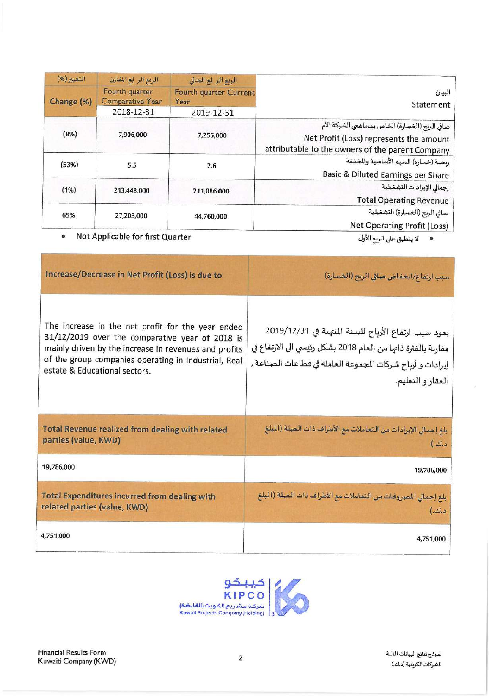|                                                                                                                                               | الربع الر لع الحالي            | الربع الر لع المقارن                      | التغيير (%) |  |
|-----------------------------------------------------------------------------------------------------------------------------------------------|--------------------------------|-------------------------------------------|-------------|--|
| البيان<br>Statement                                                                                                                           | Fourth quarter Current<br>Year | Fourth quarter<br><b>Comparative Year</b> | Change (%)  |  |
|                                                                                                                                               | 2019-12-31                     | 2018-12-31                                |             |  |
| صافي الربح (الخسارة) الخاص بمساهمي الشركة الأم<br>Net Profit (Loss) represents the amount<br>attributable to the owners of the parent Company | 7,255,000                      | 7,906,000                                 | (8%)        |  |
| ربحية (خسارة) السهم الأساسية والمخففة<br><b>Basic &amp; Diluted Earnings per Share</b>                                                        | 2.6                            |                                           | (53%)       |  |
| إجمالي الإيرادات التشغيلية<br><b>Total Operating Revenue</b>                                                                                  | 211,086,000                    | 213,448,000                               | (1%)        |  |
| صافي الربح (الخسارة) التشغيلية<br>Net Operating Profit (Loss)                                                                                 | 44,760,000                     | 27,203,000                                | 65%         |  |

• Not Applicable for first Quarter

· لا ينطبق على الربع الأول

| Increase/Decrease in Net Profit (Loss) is due to                                                                                                                                                                                                       | سبب ارتفاع/انحفاض صافي الربح (الخسارة)                                                                                                                                                                     |  |
|--------------------------------------------------------------------------------------------------------------------------------------------------------------------------------------------------------------------------------------------------------|------------------------------------------------------------------------------------------------------------------------------------------------------------------------------------------------------------|--|
| The increase in the net profit for the year ended<br>31/12/2019 over the comparative year of 2018 is<br>mainly driven by the increase in revenues and profits<br>of the group companies operating in Industrial, Real<br>estate & Educational sectors. | يعود سبب ارتفاع الأرباح للسنة المنتهية في 2019/12/31<br>مقارنة بالفترة ذاتها من العام 2018 بشكل رئيسي الى الارتفاع في<br>  إيرادات و أرباح شركات المجموعة العاملة في قطاعات الصناعة ,<br>العقار و التعليم. |  |
| <b>Total Revenue realized from dealing with related</b><br>parties (value, KWD)                                                                                                                                                                        | بلغ إحمالي الإيرادات من التعاملات مع الأطراف ذات الصلة (الملغ<br>د.ك.)                                                                                                                                     |  |
| 19,786,000                                                                                                                                                                                                                                             | 19,786,000                                                                                                                                                                                                 |  |
| <b>Total Expenditures incurred from dealing with</b><br>related parties (value, KWD)                                                                                                                                                                   | بلغ إجمالي المصروفات من التعاملات مع الأطراف ذات الصلة (الملغ<br>د.ك.)                                                                                                                                     |  |
| 4,751,000                                                                                                                                                                                                                                              | 4,751,000                                                                                                                                                                                                  |  |

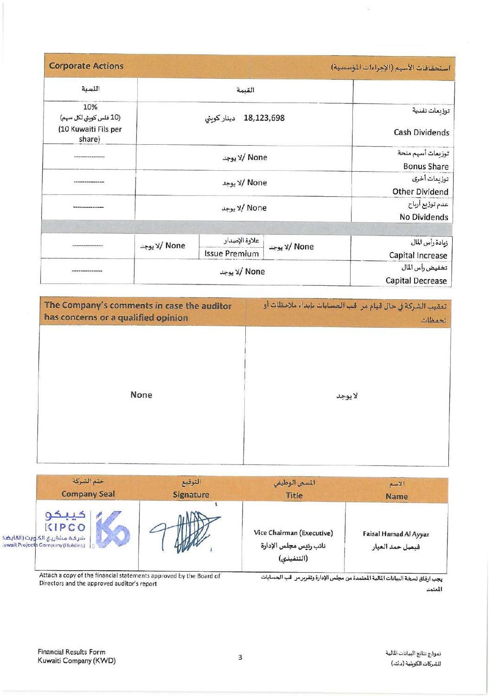| <b>Corporate Actions</b>                                        |                          |                                       |                                            | استحقاقات الأسهم (الإجراءات المؤسسية) |
|-----------------------------------------------------------------|--------------------------|---------------------------------------|--------------------------------------------|---------------------------------------|
| اللسبة                                                          |                          | القيمة                                |                                            |                                       |
| 10%<br>(10 فلس كوبتي لكل سهم)<br>(10 Kuwaiti Fils per<br>share) | 18,123,698<br>دينار كوبق |                                       | توزيعات نقدية<br><b>Cash Dividends</b>     |                                       |
|                                                                 | None /لا يوجد            |                                       | توزيعات أسهم منحة<br><b>Bonus Share</b>    |                                       |
|                                                                 | None /لا يوجد            |                                       | توزيعات أخرى<br><b>Other Dividend</b>      |                                       |
|                                                                 | None /لا يوجد            |                                       | عدم توزيع أرباح<br>No Dividends            |                                       |
|                                                                 |                          |                                       |                                            |                                       |
|                                                                 | None /لا يوجد            | علاوة الإصدار<br><b>Issue Premium</b> | None /لا يوجد                              | زيادة رأس المال<br>Capital Increase   |
|                                                                 | None /لا يوجد            |                                       | تخفيض رأس المال<br><b>Capital Decrease</b> |                                       |

| The Company's comments in case the auditor | تعقيب الشركة في حال قيام مر قب الحسابات بإبداء ملاحظات أو |  |  |
|--------------------------------------------|-----------------------------------------------------------|--|--|
| has concerns or a qualified opinion        | تحفظات                                                    |  |  |
| None                                       | لايوجد                                                    |  |  |

| خنم الشركة                                                                                 | التوقيع          | المسمى الوظيفي                                                    | الاسم       |
|--------------------------------------------------------------------------------------------|------------------|-------------------------------------------------------------------|-------------|
| <b>Company Seal</b>                                                                        | <b>Signature</b> | <b>Title</b>                                                      | <b>Name</b> |
| تيبيد<br>KIPCO<br>شركة مشاريع الكأويت (المابضة<br><b>Juwait Projects Company (Holding)</b> |                  | Vice Chairman (Executive)<br>نائب رئيس مجلس الإدارة<br>(التنفيذي) |             |

Attach a copy of the financial statements approved by the Board of<br>Directors and the approved auditor's report

يجب ارفاق نسخة البيانات المالية المقمدة من مجلس الإدارة وتقرير مر قب الحسابات المعتمد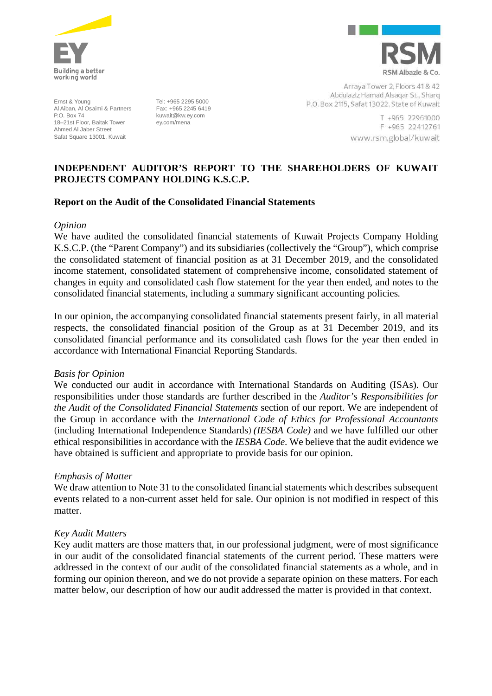

Ernst & Young Al Aiban, Al Osaimi & Partners P.O. Box 74 18–21st Floor, Baitak Tower Ahmed Al Jaber Street Safat Square 13001, Kuwait

Tel: +965 2295 5000 Fax: +965 2245 6419 kuwait@kw.ey.com ey.com/mena



Arraya Tower 2, Floors 41 & 42 Abdulaziz Hamad Alsagar St., Sharq P.O. Box 2115, Safat 13022, State of Kuwait

> T +965 22961000 F +965 22412761 www.rsm.global/kuwait

## **INDEPENDENT AUDITOR'S REPORT TO THE SHAREHOLDERS OF KUWAIT PROJECTS COMPANY HOLDING K.S.C.P.**

### **Report on the Audit of the Consolidated Financial Statements**

#### *Opinion*

We have audited the consolidated financial statements of Kuwait Projects Company Holding K.S.C.P. (the "Parent Company") and its subsidiaries (collectively the "Group"), which comprise the consolidated statement of financial position as at 31 December 2019, and the consolidated income statement, consolidated statement of comprehensive income, consolidated statement of changes in equity and consolidated cash flow statement for the year then ended, and notes to the consolidated financial statements, including a summary significant accounting policies.

In our opinion, the accompanying consolidated financial statements present fairly, in all material respects, the consolidated financial position of the Group as at 31 December 2019, and its consolidated financial performance and its consolidated cash flows for the year then ended in accordance with International Financial Reporting Standards.

### *Basis for Opinion*

We conducted our audit in accordance with International Standards on Auditing (ISAs). Our responsibilities under those standards are further described in the *Auditor's Responsibilities for the Audit of the Consolidated Financial Statements* section of our report. We are independent of the Group in accordance with the *International Code of Ethics for Professional Accountants (*including International Independence Standards*) (IESBA Code)* and we have fulfilled our other ethical responsibilities in accordance with the *IESBA Code*. We believe that the audit evidence we have obtained is sufficient and appropriate to provide basis for our opinion.

### *Emphasis of Matter*

We draw attention to Note 31 to the consolidated financial statements which describes subsequent events related to a non-current asset held for sale. Our opinion is not modified in respect of this matter.

### *Key Audit Matters*

Key audit matters are those matters that, in our professional judgment, were of most significance in our audit of the consolidated financial statements of the current period. These matters were addressed in the context of our audit of the consolidated financial statements as a whole, and in forming our opinion thereon, and we do not provide a separate opinion on these matters. For each matter below, our description of how our audit addressed the matter is provided in that context.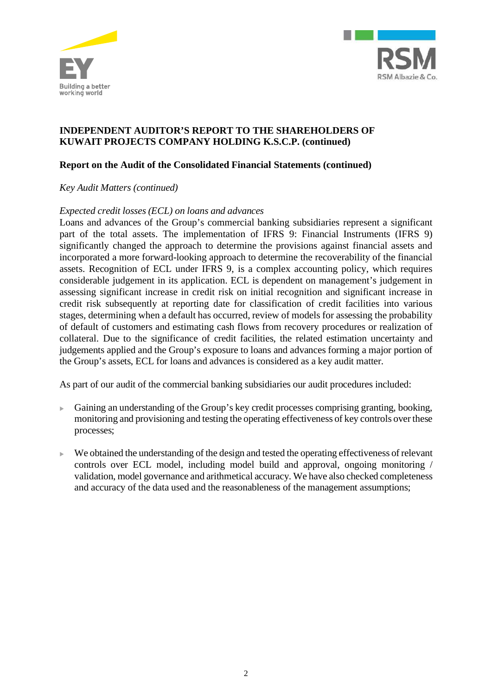



## **Report on the Audit of the Consolidated Financial Statements (continued)**

### *Key Audit Matters (continued)*

### *Expected credit losses (ECL) on loans and advances*

Loans and advances of the Group's commercial banking subsidiaries represent a significant part of the total assets. The implementation of IFRS 9: Financial Instruments (IFRS 9) significantly changed the approach to determine the provisions against financial assets and incorporated a more forward-looking approach to determine the recoverability of the financial assets. Recognition of ECL under IFRS 9, is a complex accounting policy, which requires considerable judgement in its application. ECL is dependent on management's judgement in assessing significant increase in credit risk on initial recognition and significant increase in credit risk subsequently at reporting date for classification of credit facilities into various stages, determining when a default has occurred, review of models for assessing the probability of default of customers and estimating cash flows from recovery procedures or realization of collateral. Due to the significance of credit facilities, the related estimation uncertainty and judgements applied and the Group's exposure to loans and advances forming a major portion of the Group's assets, ECL for loans and advances is considered as a key audit matter.

As part of our audit of the commercial banking subsidiaries our audit procedures included:

- Gaining an understanding of the Group's key credit processes comprising granting, booking, monitoring and provisioning and testing the operating effectiveness of key controls over these processes;
- $\blacktriangleright$  We obtained the understanding of the design and tested the operating effectiveness of relevant controls over ECL model, including model build and approval, ongoing monitoring / validation, model governance and arithmetical accuracy. We have also checked completeness and accuracy of the data used and the reasonableness of the management assumptions;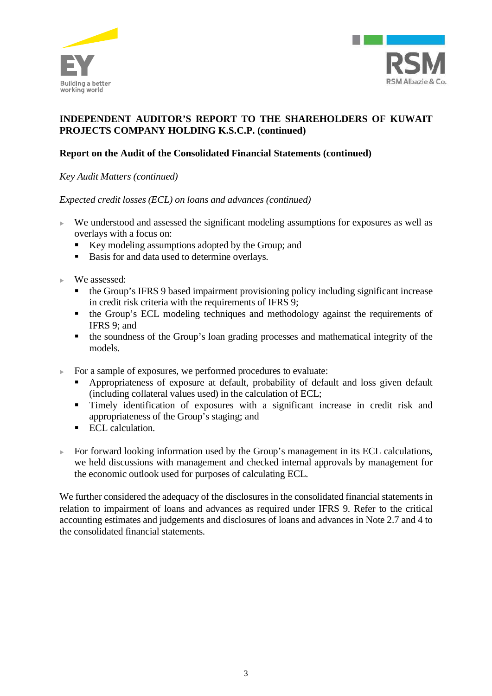



# **Report on the Audit of the Consolidated Financial Statements (continued)**

*Key Audit Matters (continued)*

*Expected credit losses (ECL) on loans and advances (continued)*

- We understood and assessed the significant modeling assumptions for exposures as well as overlays with a focus on:
	- Key modeling assumptions adopted by the Group; and
	- Basis for and data used to determine overlays.
- We assessed:
	- the Group's IFRS 9 based impairment provisioning policy including significant increase in credit risk criteria with the requirements of IFRS 9;
	- the Group's ECL modeling techniques and methodology against the requirements of IFRS 9; and
	- the soundness of the Group's loan grading processes and mathematical integrity of the models.
- For a sample of exposures, we performed procedures to evaluate:
	- § Appropriateness of exposure at default, probability of default and loss given default (including collateral values used) in the calculation of ECL;
	- § Timely identification of exposures with a significant increase in credit risk and appropriateness of the Group's staging; and
	- ECL calculation.
- For forward looking information used by the Group's management in its ECL calculations, we held discussions with management and checked internal approvals by management for the economic outlook used for purposes of calculating ECL.

We further considered the adequacy of the disclosures in the consolidated financial statements in relation to impairment of loans and advances as required under IFRS 9. Refer to the critical accounting estimates and judgements and disclosures of loans and advances in Note 2.7 and 4 to the consolidated financial statements.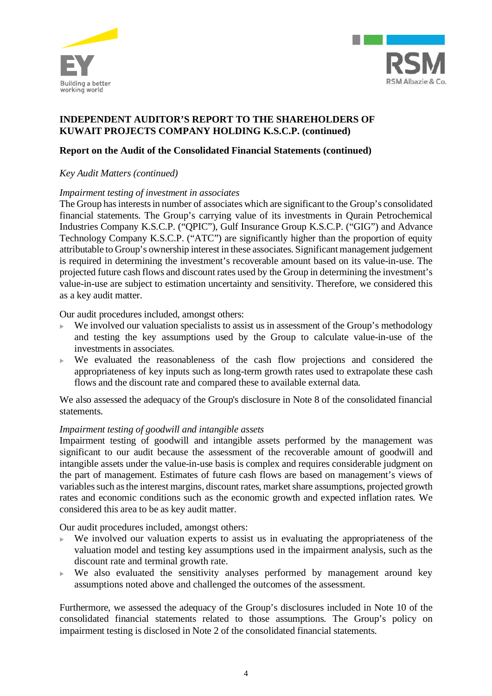



## **Report on the Audit of the Consolidated Financial Statements (continued)**

### *Key Audit Matters (continued)*

### *Impairment testing of investment in associates*

The Group has interests in number of associates which are significant to the Group's consolidated financial statements. The Group's carrying value of its investments in Qurain Petrochemical Industries Company K.S.C.P. ("QPIC"), Gulf Insurance Group K.S.C.P. ("GIG") and Advance Technology Company K.S.C.P. ("ATC") are significantly higher than the proportion of equity attributable to Group's ownership interest in these associates. Significant management judgement is required in determining the investment's recoverable amount based on its value-in-use. The projected future cash flows and discount rates used by the Group in determining the investment's value-in-use are subject to estimation uncertainty and sensitivity. Therefore, we considered this as a key audit matter.

Our audit procedures included, amongst others:

- $\blacktriangleright$  We involved our valuation specialists to assist us in assessment of the Group's methodology and testing the key assumptions used by the Group to calculate value-in-use of the investments in associates.
- $\blacktriangleright$  We evaluated the reasonableness of the cash flow projections and considered the appropriateness of key inputs such as long-term growth rates used to extrapolate these cash flows and the discount rate and compared these to available external data.

We also assessed the adequacy of the Group's disclosure in Note 8 of the consolidated financial statements.

### *Impairment testing of goodwill and intangible assets*

Impairment testing of goodwill and intangible assets performed by the management was significant to our audit because the assessment of the recoverable amount of goodwill and intangible assets under the value-in-use basis is complex and requires considerable judgment on the part of management. Estimates of future cash flows are based on management's views of variables such as the interest margins, discount rates, market share assumptions, projected growth rates and economic conditions such as the economic growth and expected inflation rates . We considered this area to be as key audit matter.

Our audit procedures included, amongst others:

- We involved our valuation experts to assist us in evaluating the appropriateness of the valuation model and testing key assumptions used in the impairment analysis, such as the discount rate and terminal growth rate.
- $\blacktriangleright$  We also evaluated the sensitivity analyses performed by management around key assumptions noted above and challenged the outcomes of the assessment.

Furthermore, we assessed the adequacy of the Group's disclosures included in Note 10 of the consolidated financial statements related to those assumptions. The Group's policy on impairment testing is disclosed in Note 2 of the consolidated financial statements.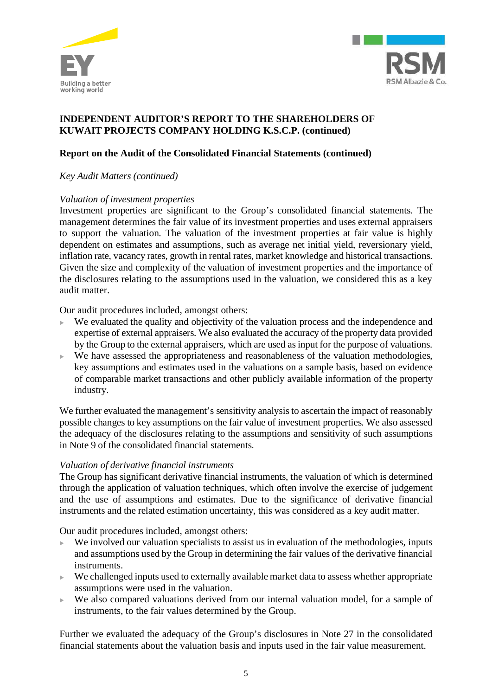



## **Report on the Audit of the Consolidated Financial Statements (continued)**

### *Key Audit Matters (continued)*

### *Valuation of investment properties*

Investment properties are significant to the Group's consolidated financial statements. The management determines the fair value of its investment properties and uses external appraisers to support the valuation. The valuation of the investment properties at fair value is highly dependent on estimates and assumptions, such as average net initial yield, reversionary yield, inflation rate, vacancy rates, growth in rental rates, market knowledge and historical transactions. Given the size and complexity of the valuation of investment properties and the importance of the disclosures relating to the assumptions used in the valuation, we considered this as a key audit matter.

Our audit procedures included, amongst others:

- We evaluated the quality and objectivity of the valuation process and the independence and expertise of external appraisers. We also evaluated the accuracy of the property data provided by the Group to the external appraisers, which are used as input for the purpose of valuations.
- $\triangleright$  We have assessed the appropriateness and reasonableness of the valuation methodologies, key assumptions and estimates used in the valuations on a sample basis, based on evidence of comparable market transactions and other publicly available information of the property industry.

We further evaluated the management's sensitivity analysis to ascertain the impact of reasonably possible changes to key assumptions on the fair value of investment properties. We also assessed the adequacy of the disclosures relating to the assumptions and sensitivity of such assumptions in Note 9 of the consolidated financial statements*.*

### *Valuation of derivative financial instruments*

The Group has significant derivative financial instruments, the valuation of which is determined through the application of valuation techniques, which often involve the exercise of judgement and the use of assumptions and estimates. Due to the significance of derivative financial instruments and the related estimation uncertainty, this was considered as a key audit matter.

Our audit procedures included, amongst others:

- We involved our valuation specialists to assist us in evaluation of the methodologies, inputs and assumptions used by the Group in determining the fair values of the derivative financial instruments.
- $\triangleright$  We challenged inputs used to externally available market data to assess whether appropriate assumptions were used in the valuation.
- $\triangleright$  We also compared valuations derived from our internal valuation model, for a sample of instruments, to the fair values determined by the Group.

Further we evaluated the adequacy of the Group's disclosures in Note 27 in the consolidated financial statements about the valuation basis and inputs used in the fair value measurement.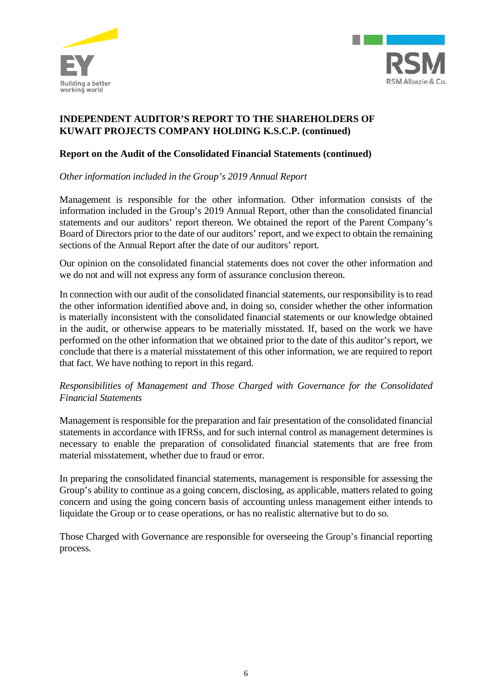



## **Report on the Audit of the Consolidated Financial Statements (continued)**

*Other information included in the Group's 2019 Annual Report*

Management is responsible for the other information. Other information consists of the information included in the Group's 2019 Annual Report, other than the consolidated financial statements and our auditors' report thereon. We obtained the report of the Parent Company's Board of Directors prior to the date of our auditors' report, and we expect to obtain the remaining sections of the Annual Report after the date of our auditors' report.

Our opinion on the consolidated financial statements does not cover the other information and we do not and will not express any form of assurance conclusion thereon.

In connection with our audit of the consolidated financial statements, our responsibility is to read the other information identified above and, in doing so, consider whether the other information is materially inconsistent with the consolidated financial statements or our knowledge obtained in the audit, or otherwise appears to be materially misstated. If, based on the work we have performed on the other information that we obtained prior to the date of this auditor's report, we conclude that there is a material misstatement of this other information, we are required to report that fact. We have nothing to report in this regard.

## *Responsibilities of Management and Those Charged with Governance for the Consolidated Financial Statements*

Management is responsible for the preparation and fair presentation of the consolidated financial statements in accordance with IFRSs, and for such internal control as management determines is necessary to enable the preparation of consolidated financial statements that are free from material misstatement, whether due to fraud or error.

In preparing the consolidated financial statements, management is responsible for assessing the Group's ability to continue as a going concern, disclosing, as applicable, matters related to going concern and using the going concern basis of accounting unless management either intends to liquidate the Group or to cease operations, or has no realistic alternative but to do so.

Those Charged with Governance are responsible for overseeing the Group's financial reporting process.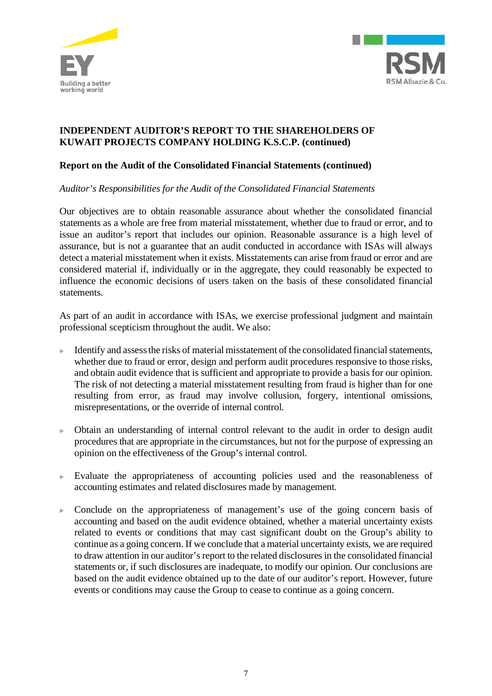



## **Report on the Audit of the Consolidated Financial Statements (continued)**

### *Auditor's Responsibilities for the Audit of the Consolidated Financial Statements*

Our objectives are to obtain reasonable assurance about whether the consolidated financial statements as a whole are free from material misstatement, whether due to fraud or error, and to issue an auditor's report that includes our opinion. Reasonable assurance is a high level of assurance, but is not a guarantee that an audit conducted in accordance with ISAs will always detect a material misstatement when it exists. Misstatements can arise from fraud or error and are considered material if, individually or in the aggregate, they could reasonably be expected to influence the economic decisions of users taken on the basis of these consolidated financial statements.

As part of an audit in accordance with ISAs, we exercise professional judgment and maintain professional scepticism throughout the audit. We also:

- <sup>u</sup> Identify and assess the risks of material misstatement of the consolidated financial statements, whether due to fraud or error, design and perform audit procedures responsive to those risks, and obtain audit evidence that is sufficient and appropriate to provide a basis for our opinion. The risk of not detecting a material misstatement resulting from fraud is higher than for one resulting from error, as fraud may involve collusion, forgery, intentional omissions, misrepresentations, or the override of internal control.
- $\triangleright$  Obtain an understanding of internal control relevant to the audit in order to design audit procedures that are appropriate in the circumstances, but not for the purpose of expressing an opinion on the effectiveness of the Group's internal control.
- Evaluate the appropriateness of accounting policies used and the reasonableness of accounting estimates and related disclosures made by management.
- $\triangleright$  Conclude on the appropriateness of management's use of the going concern basis of accounting and based on the audit evidence obtained, whether a material uncertainty exists related to events or conditions that may cast significant doubt on the Group's ability to continue as a going concern. If we conclude that a material uncertainty exists, we are required to draw attention in our auditor's report to the related disclosures in the consolidated financial statements or, if such disclosures are inadequate, to modify our opinion. Our conclusions are based on the audit evidence obtained up to the date of our auditor's report. However, future events or conditions may cause the Group to cease to continue as a going concern.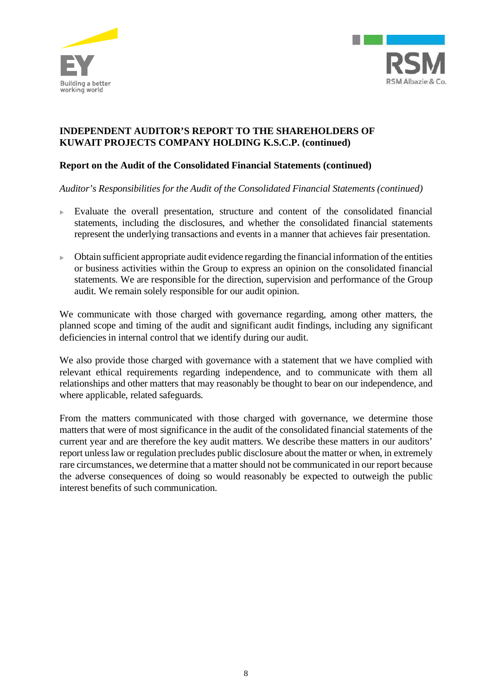



## **Report on the Audit of the Consolidated Financial Statements (continued)**

*Auditor's Responsibilities for the Audit of the Consolidated Financial Statements (continued)*

- $\blacktriangleright$  Evaluate the overall presentation, structure and content of the consolidated financial statements, including the disclosures, and whether the consolidated financial statements represent the underlying transactions and events in a manner that achieves fair presentation.
- <sup>u</sup> Obtain sufficient appropriate audit evidence regarding the financial information of the entities or business activities within the Group to express an opinion on the consolidated financial statements. We are responsible for the direction, supervision and performance of the Group audit. We remain solely responsible for our audit opinion.

We communicate with those charged with governance regarding, among other matters, the planned scope and timing of the audit and significant audit findings, including any significant deficiencies in internal control that we identify during our audit.

We also provide those charged with governance with a statement that we have complied with relevant ethical requirements regarding independence, and to communicate with them all relationships and other matters that may reasonably be thought to bear on our independence, and where applicable, related safeguards.

From the matters communicated with those charged with governance, we determine those matters that were of most significance in the audit of the consolidated financial statements of the current year and are therefore the key audit matters. We describe these matters in our auditors' report unless law or regulation precludes public disclosure about the matter or when, in extremely rare circumstances, we determine that a matter should not be communicated in our report because the adverse consequences of doing so would reasonably be expected to outweigh the public interest benefits of such communication.